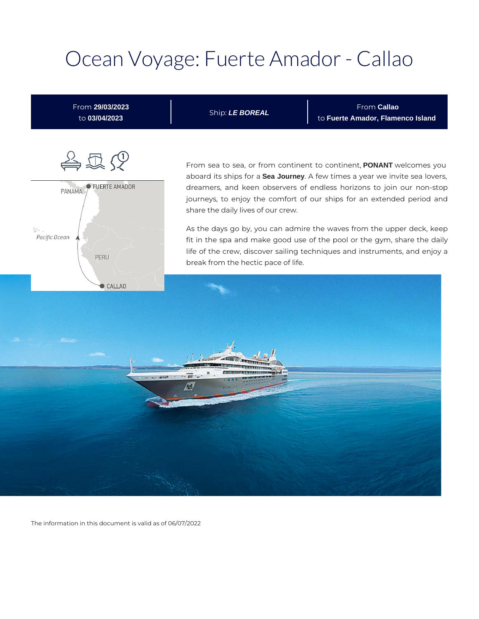# Ocean Voyage: Fuerte Amador - Callao



The information in this document is valid as of 06/07/2022